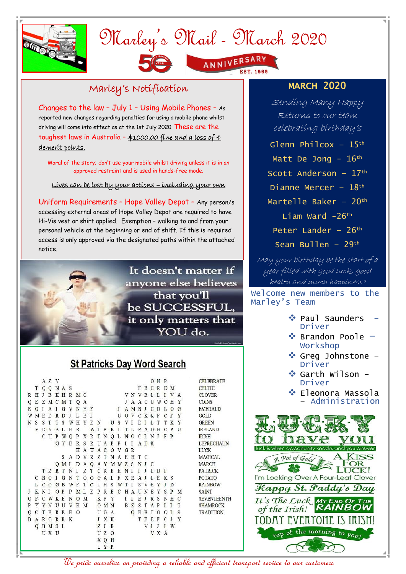

# Marley's Mail - March 2020





### Marley's Notification

Changes to the law – July 1 – Using Mobile Phones – As reported new changes regarding penalties for using a mobile phone whilst driving will come into effect as at the 1st July 2020. These are the toughest laws in Australia - \$1000.00 fine and a loss of 4 demerit points.

Moral of the story; don't use your mobile whilst driving unless it is in an approved restraint and is used in hands-free mode.

Lives can be lost by your actions – including your own

Uniform Requirements – Hope Valley Depot – Any person/s accessing external areas of Hope Valley Depot are required to have Hi-Vis vest or shirt applied. Exemption – walking to and from your personal vehicle at the beginning or end of shift. If this is required access is only approved via the designated paths within the attached notice.



## **St Patricks Day Word Search**

|   |         |       | A Z V       |     |              |           |               |             |   |   |        |   |                             |   |                |       |        |      | OHP           |              |         |   |
|---|---------|-------|-------------|-----|--------------|-----------|---------------|-------------|---|---|--------|---|-----------------------------|---|----------------|-------|--------|------|---------------|--------------|---------|---|
|   |         |       |             |     | T Q Q N A S  |           |               |             |   |   |        |   |                             |   |                |       |        |      | <b>FBCRDM</b> |              |         |   |
| R | H       |       |             |     | <b>JRKHR</b> |           | M C           |             |   |   |        |   |                             |   |                |       |        |      | VN VRL L I VA |              |         |   |
| Q |         |       |             |     | E Z M C M T  |           |               | QA          |   |   |        |   |                             |   |                |       |        |      | J A A O U W O |              | Н       | Y |
| Е | $\circ$ | I     |             |     | A I G V      |           | $N$ H F $J$   |             |   |   |        |   |                             |   | A M B J C D    |       |        |      |               | L            | $\circ$ | G |
| W | M       | E     | D           | R   | D            | J         | L             | E I         |   |   |        |   |                             |   | UOVCKKF        |       |        |      |               | C            | F       | Υ |
| N | S S T   |       |             |     | T S          | W         |               |             |   |   |        |   | HYEN USVI                   |   |                |       | DI L T |      |               |              | T K     | Y |
|   | V       | D N   |             | A L |              | E         | R             | I W T P B J |   |   |        |   |                             |   | T L            |       | P A D  |      | H             | C P          |         | U |
|   |         |       |             |     | CUPWQ        |           | P             |             |   |   |        |   | X R T N Q L N O C L N J F P |   |                |       |        |      |               |              |         |   |
|   |         |       |             | G   | Y E          |           | <b>RSRUAE</b> |             |   |   |        |   | $\mathbf{P}$                |   | I I A D K      |       |        |      |               |              |         |   |
|   |         |       |             |     |              |           | Η             |             |   |   |        |   | AUACOVGR                    |   |                |       |        |      |               |              |         |   |
|   |         |       |             |     |              | SADVRZTNA |               |             |   |   |        |   |                             | E | H              | T C   |        |      |               |              |         |   |
|   |         |       |             | 0   | M I          |           | D             |             |   |   |        |   | A Q A Y M M Z S             |   |                |       | N J C  |      |               |              |         |   |
|   |         |       | T Z         | R   | T N          |           | T             | Z           |   |   | T GRE  |   | E N I                       |   |                | $I$ J |        | E    | D             | $\mathbf{I}$ |         |   |
|   | C       | B O   |             | L   | G            | N         | T             | 0           | O |   | G A    | L | $\,$ F                      |   | X R            |       | A J    | L    | E             | K S          |         |   |
|   | L       | $C$ O |             | G B |              | W         | F             | T           | C | U | H S    |   | WTI                         |   |                |       | S V    | E    | Υ             | J            | D       |   |
| J | K       | N I   |             | O P |              | P         |               | M L         | E |   | P R E  |   |                             |   | C H A          |       | U N    | B    | Y             | S            | P       | М |
| 0 | P       |       | C W         | K E |              | N         |               | 0 M         |   |   | K F Y  |   |                             | Ι | $\mathbf{I}$   | Ε     | J      | R    | S             | N            | H       | C |
| P | Y       | Y N   |             |     | U U          | V         | E             | М           |   |   | O M N  |   |                             |   | B <sub>Z</sub> | S     | T      | A    | P             | I            | Ι       | T |
| Q | C       | T E   |             |     | R E          | E         | $\circ$       |             |   |   | U G A  |   |                             |   | Q              | Ε     | B      | T    | 0             | O            | Ι       | s |
| B | Α       |       |             |     | <b>RORRK</b> |           |               |             |   |   | J X K  |   |                             |   |                |       | T F E  |      | $\, {\rm F}$  | C            | J       | Y |
|   | Q       |       | <b>BMSI</b> |     |              |           |               |             |   |   | $ZJ$ B |   |                             |   |                |       |        | VI J |               | Ι.           | W       |   |
|   |         |       | UX U        |     |              |           |               |             |   |   | UZ0    |   |                             |   |                |       |        |      | V X A         |              |         |   |
|   |         |       |             |     |              |           |               |             |   |   | X Q H  |   |                             |   |                |       |        |      |               |              |         |   |
|   |         |       |             |     |              |           |               |             |   |   | UYP    |   |                             |   |                |       |        |      |               |              |         |   |

#### MARCH 2020

Sending Many Happy Returns to our team celebrating birthday's

Glenn Philcox  $-15$ <sup>th</sup>

Matt De Jong - 16th

Scott Anderson -  $17<sup>th</sup>$ 

Dianne Mercer  $-18$ <sup>th</sup>

Martelle Baker - 20<sup>th</sup>

Liam Ward  $-26$ <sup>th</sup>

Peter Lander -  $26<sup>th</sup>$ 

Sean Bullen -  $29<sup>th</sup>$ 

May your birthday be the start of a year filled with good luck, good health and much happiness?

Welcome new members to the Marley's Team

- ❖ Paul Saunders Driver
- $\triangleq$  Brandon Poole -Workshop
- Greg Johnstone Driver
- $\triangleleft$  Garth Wilson -Driver
- ❖ Eleonora Massola – Administration



We pride ourselves on providing a reliable and efficient transport service to our customers

**CELEBRATE CELTIC CLOVER COINS EMERALD** GOLD. **GREEN IRELAND IRISH** 

**LEPRECHAUN** LUCK **MAGICAL** MARCH

**PATRICK** 

POTATO RAINBOW

SAINT **SEVENTEENTH** 

**SHAMROCK TRADITION**